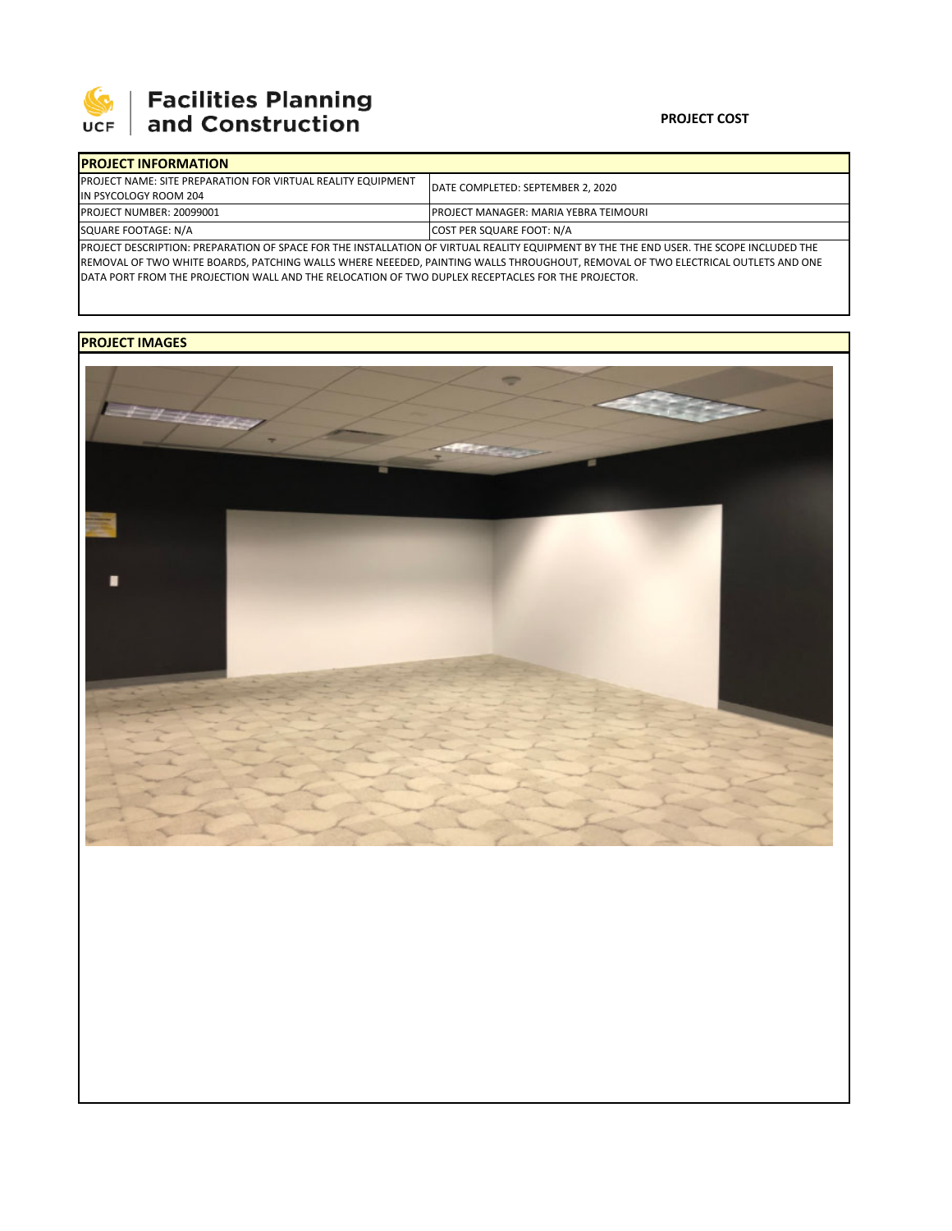

## **PROJECT COST**

| <b>IPROJECT INFORMATION</b>                                                                                                             |                                               |  |  |  |  |
|-----------------------------------------------------------------------------------------------------------------------------------------|-----------------------------------------------|--|--|--|--|
| <b>PROJECT NAME: SITE PREPARATION FOR VIRTUAL REALITY EQUIPMENT</b>                                                                     | DATE COMPLETED: SEPTEMBER 2, 2020             |  |  |  |  |
| IN PSYCOLOGY ROOM 204                                                                                                                   |                                               |  |  |  |  |
| <b>PROJECT NUMBER: 20099001</b>                                                                                                         | <b>IPROJECT MANAGER: MARIA YEBRA TEIMOURI</b> |  |  |  |  |
| SQUARE FOOTAGE: N/A                                                                                                                     | COST PER SQUARE FOOT: N/A                     |  |  |  |  |
| PROJECT DESCRIPTION: PREPARATION OF SPACE FOR THE INSTALLATION OF VIRTUAL REALITY EQUIPMENT BY THE THE END USER. THE SCOPE INCLUDED THE |                                               |  |  |  |  |

REMOVAL OF TWO WHITE BOARDS, PATCHING WALLS WHERE NEEEDED, PAINTING WALLS THROUGHOUT, REMOVAL OF TWO ELECTRICAL OUTLETS AND ONE DATA PORT FROM THE PROJECTION WALL AND THE RELOCATION OF TWO DUPLEX RECEPTACLES FOR THE PROJECTOR.

## **PROJECT IMAGES**